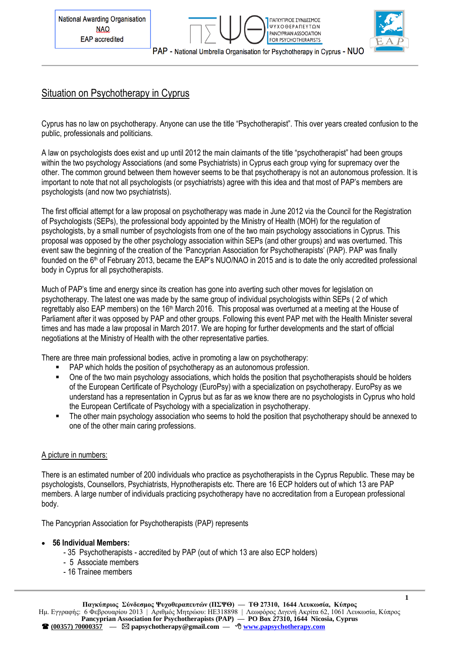



# Situation on Psychotherapy in Cyprus

Cyprus has no law on psychotherapy. Anyone can use the title "Psychotherapist". This over years created confusion to the public, professionals and politicians.

A law on psychologists does exist and up until 2012 the main claimants of the title "psychotherapist" had been groups within the two psychology Associations (and some Psychiatrists) in Cyprus each group vying for supremacy over the other. The common ground between them however seems to be that psychotherapy is not an autonomous profession. It is important to note that not all psychologists (or psychiatrists) agree with this idea and that most of PAP's members are psychologists (and now two psychiatrists).

The first official attempt for a law proposal on psychotherapy was made in June 2012 via the Council for the Registration of Psychologists (SEPs), the professional body appointed by the Ministry of Health (MOH) for the regulation of psychologists, by a small number of psychologists from one of the two main psychology associations in Cyprus. This proposal was opposed by the other psychology association within SEPs (and other groups) and was overturned. This event saw the beginning of the creation of the 'Pancyprian Association for Psychotherapists' (PAP). PAP was finally founded on the  $6<sup>th</sup>$  of February 2013, became the EAP's NUO/NAO in 2015 and is to date the only accredited professional body in Cyprus for all psychotherapists.

Much of PAP's time and energy since its creation has gone into averting such other moves for legislation on psychotherapy. The latest one was made by the same group of individual psychologists within SEPs ( 2 of which regrettably also EAP members) on the 16th March 2016. This proposal was overturned at a meeting at the House of Parliament after it was opposed by PAP and other groups. Following this event PAP met with the Health Minister several times and has made a law proposal in March 2017. We are hoping for further developments and the start of official negotiations at the Ministry of Health with the other representative parties.

There are three main professional bodies, active in promoting a law on psychotherapy:

- **PAP which holds the position of psychotherapy as an autonomous profession.**
- One of the two main psychology associations, which holds the position that psychotherapists should be holders of the European Certificate of Psychology (EuroPsy) with a specialization on psychotherapy. EuroPsy as we understand has a representation in Cyprus but as far as we know there are no psychologists in Cyprus who hold the European Certificate of Psychology with a specialization in psychotherapy.
- The other main psychology association who seems to hold the position that psychotherapy should be annexed to one of the other main caring professions.

#### A picture in numbers:

There is an estimated number of 200 individuals who practice as psychotherapists in the Cyprus Republic. These may be psychologists, Counsellors, Psychiatrists, Hypnotherapists etc. There are 16 ECP holders out of which 13 are PAP members. A large number of individuals practicing psychotherapy have no accreditation from a European professional body.

The Pancyprian Association for Psychotherapists (PAP) represents

- **56 Individual Members:**
	- 35 Psychotherapists accredited by PAP (out of which 13 are also ECP holders)
	- 5 Associate members
	- 16 Trainee members